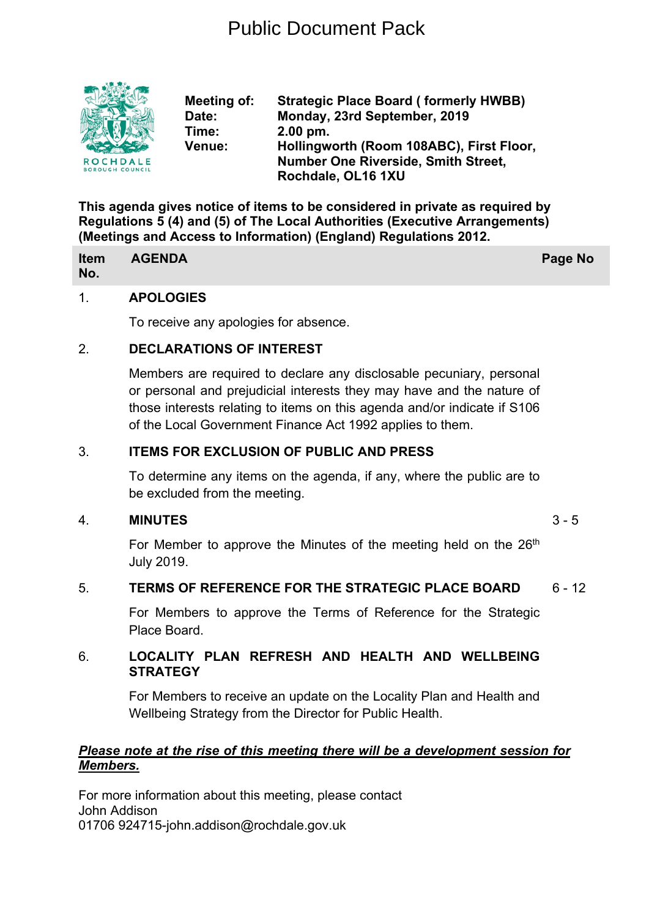# Public Document Pack



**Meeting of: Strategic Place Board ( formerly HWBB) Date: Monday, 23rd September, 2019 Time: 2.00 pm. Venue: Hollingworth (Room 108ABC), First Floor, Number One Riverside, Smith Street, Rochdale, OL16 1XU**

**This agenda gives notice of items to be considered in private as required by Regulations 5 (4) and (5) of The Local Authorities (Executive Arrangements) (Meetings and Access to Information) (England) Regulations 2012.**

|     | Item AGENDA | Page No |
|-----|-------------|---------|
| No. |             |         |

#### 1. **APOLOGIES**

To receive any apologies for absence.

## 2. **DECLARATIONS OF INTEREST**

Members are required to declare any disclosable pecuniary, personal or personal and prejudicial interests they may have and the nature of those interests relating to items on this agenda and/or indicate if S106 of the Local Government Finance Act 1992 applies to them.

#### 3. **ITEMS FOR EXCLUSION OF PUBLIC AND PRESS**

To determine any items on the agenda, if any, where the public are to be excluded from the meeting.

#### 4. **MINUTES** 3 - 5

For Member to approve the Minutes of the meeting held on the 26<sup>th</sup> July 2019.

#### 5. **TERMS OF REFERENCE FOR THE STRATEGIC PLACE BOARD** 6 - 12

For Members to approve the Terms of Reference for the Strategic Place Board.

## 6. **LOCALITY PLAN REFRESH AND HEALTH AND WELLBEING STRATEGY**

For Members to receive an update on the Locality Plan and Health and Wellbeing Strategy from the Director for Public Health.

## *Please note at the rise of this meeting there will be a development session for Members.*

For more information about this meeting, please contact John Addison 01706 924715-john.addison@rochdale.gov.uk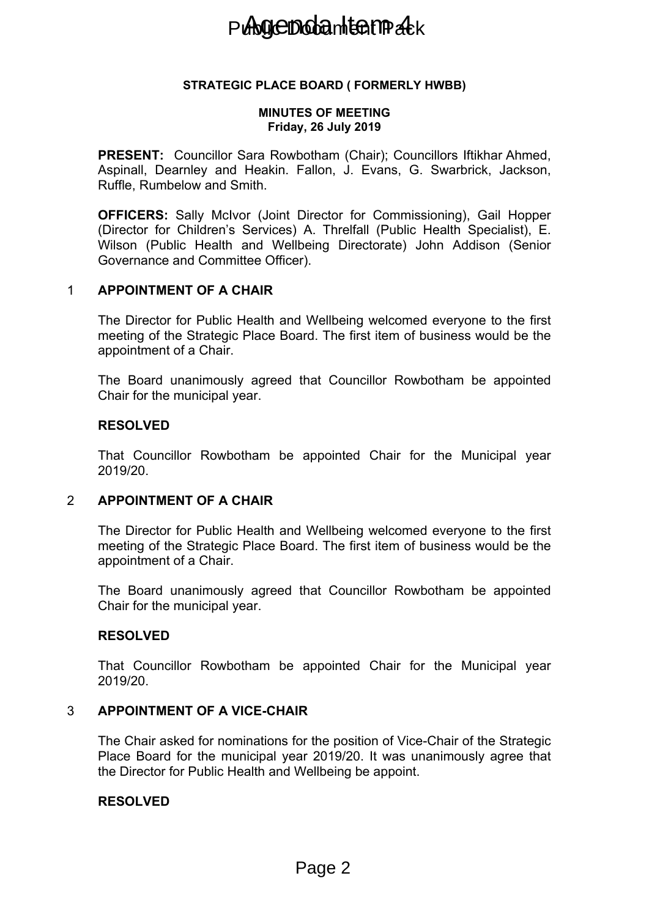# Public Doctor Hampstek

#### **STRATEGIC PLACE BOARD ( FORMERLY HWBB)**

#### **MINUTES OF MEETING Friday, 26 July 2019**

**PRESENT:** Councillor Sara Rowbotham (Chair); Councillors Iftikhar Ahmed, Aspinall, Dearnley and Heakin. Fallon, J. Evans, G. Swarbrick, Jackson, Ruffle, Rumbelow and Smith.

**OFFICERS:** Sally McIvor (Joint Director for Commissioning), Gail Hopper (Director for Children's Services) A. Threlfall (Public Health Specialist), E. Wilson (Public Health and Wellbeing Directorate) John Addison (Senior Governance and Committee Officer). **CONGROMERT ANDIFIES CONGROMERT CONGROMERT CONGROMERT CONGROM**<br>
Friday, 26 July 2019<br>
Sara Rowbotham (Chair); Col<br>
Heakin. Fallon, J. Evans, commin.<br>
Services) A. Threffall (Public<br>
Services) A. Therefall (Public<br>
the Offi

## 1 **APPOINTMENT OF A CHAIR**

The Director for Public Health and Wellbeing welcomed everyone to the first meeting of the Strategic Place Board. The first item of business would be the appointment of a Chair.

The Board unanimously agreed that Councillor Rowbotham be appointed Chair for the municipal year.

#### **RESOLVED**

That Councillor Rowbotham be appointed Chair for the Municipal year 2019/20.

## 2 **APPOINTMENT OF A CHAIR**

The Director for Public Health and Wellbeing welcomed everyone to the first meeting of the Strategic Place Board. The first item of business would be the appointment of a Chair.

The Board unanimously agreed that Councillor Rowbotham be appointed Chair for the municipal year.

#### **RESOLVED**

That Councillor Rowbotham be appointed Chair for the Municipal year 2019/20.

## 3 **APPOINTMENT OF A VICE-CHAIR**

The Chair asked for nominations for the position of Vice-Chair of the Strategic Place Board for the municipal year 2019/20. It was unanimously agree that the Director for Public Health and Wellbeing be appoint.

## **RESOLVED**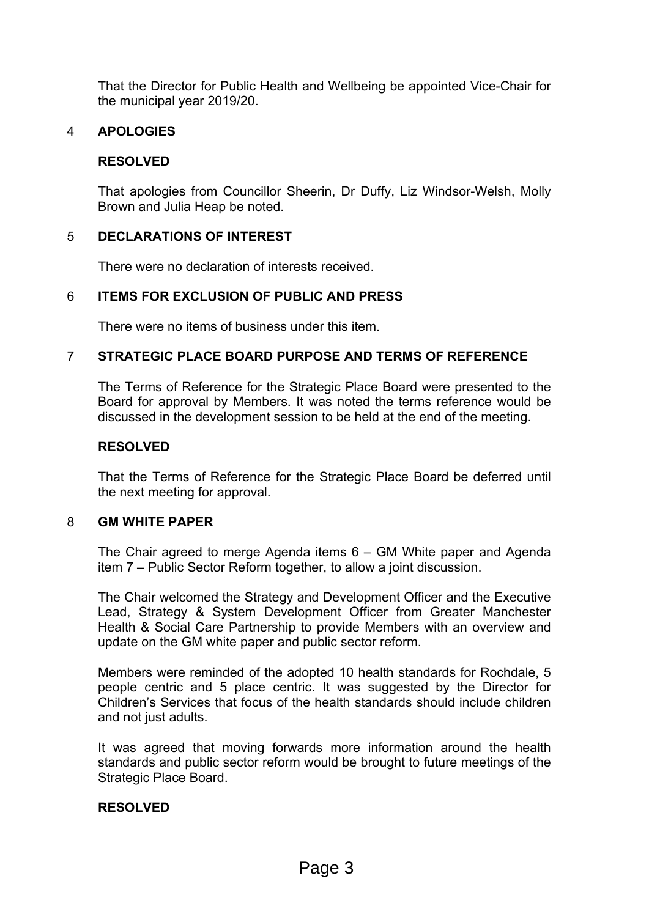That the Director for Public Health and Wellbeing be appointed Vice-Chair for the municipal year 2019/20.

## 4 **APOLOGIES**

## **RESOLVED**

That apologies from Councillor Sheerin, Dr Duffy, Liz Windsor-Welsh, Molly Brown and Julia Heap be noted.

## 5 **DECLARATIONS OF INTEREST**

There were no declaration of interests received.

## 6 **ITEMS FOR EXCLUSION OF PUBLIC AND PRESS**

There were no items of business under this item.

## 7 **STRATEGIC PLACE BOARD PURPOSE AND TERMS OF REFERENCE**

The Terms of Reference for the Strategic Place Board were presented to the Board for approval by Members. It was noted the terms reference would be discussed in the development session to be held at the end of the meeting.

## **RESOLVED**

That the Terms of Reference for the Strategic Place Board be deferred until the next meeting for approval.

## 8 **GM WHITE PAPER**

The Chair agreed to merge Agenda items 6 – GM White paper and Agenda item 7 – Public Sector Reform together, to allow a joint discussion.

The Chair welcomed the Strategy and Development Officer and the Executive Lead, Strategy & System Development Officer from Greater Manchester Health & Social Care Partnership to provide Members with an overview and update on the GM white paper and public sector reform.

Members were reminded of the adopted 10 health standards for Rochdale, 5 people centric and 5 place centric. It was suggested by the Director for Children's Services that focus of the health standards should include children and not just adults.

It was agreed that moving forwards more information around the health standards and public sector reform would be brought to future meetings of the Strategic Place Board.

## **RESOLVED**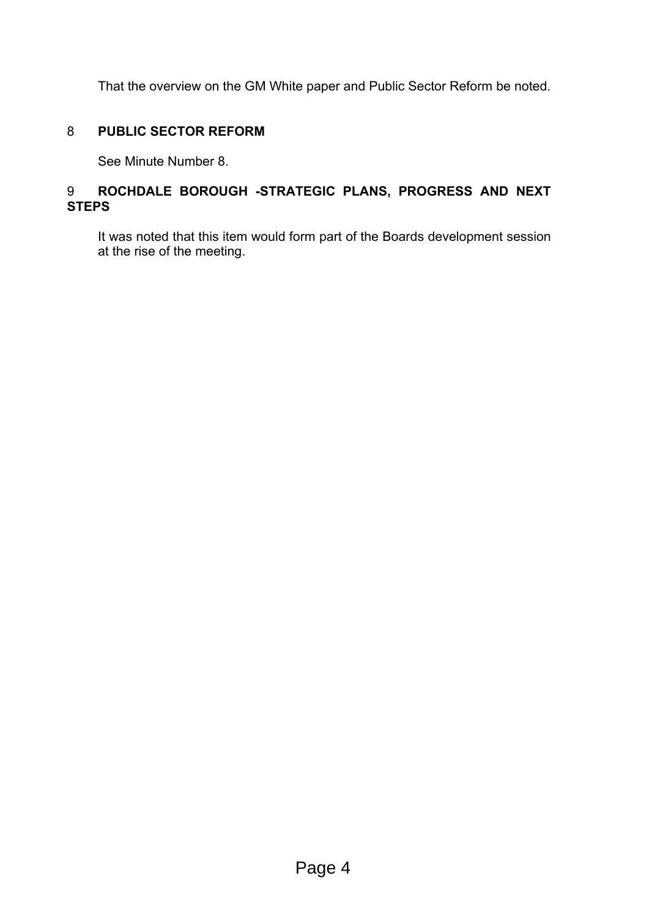That the overview on the GM White paper and Public Sector Reform be noted.

## 8 **PUBLIC SECTOR REFORM**

See Minute Number 8.

## 9 **ROCHDALE BOROUGH -STRATEGIC PLANS, PROGRESS AND NEXT STEPS**

It was noted that this item would form part of the Boards development session at the rise of the meeting.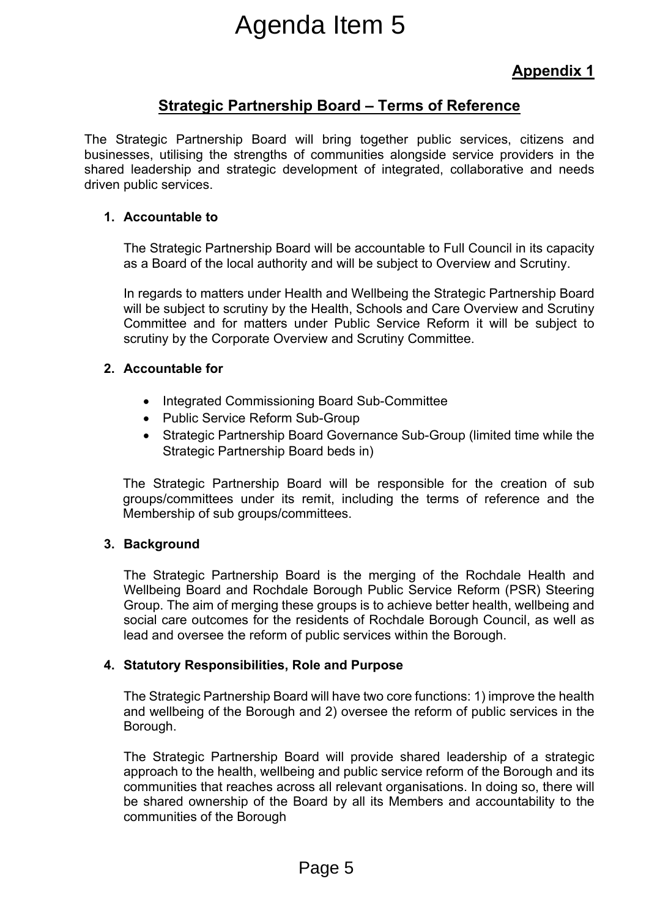# Agenda Item 5

## **Appendix 1**

## **Strategic Partnership Board – Terms of Reference**

The Strategic Partnership Board will bring together public services, citizens and businesses, utilising the strengths of communities alongside service providers in the shared leadership and strategic development of integrated, collaborative and needs driven public services.

## **1. Accountable to**

The Strategic Partnership Board will be accountable to Full Council in its capacity as a Board of the local authority and will be subject to Overview and Scrutiny.

In regards to matters under Health and Wellbeing the Strategic Partnership Board will be subject to scrutiny by the Health, Schools and Care Overview and Scrutiny Committee and for matters under Public Service Reform it will be subject to scrutiny by the Corporate Overview and Scrutiny Committee.

## **2. Accountable for**

- Integrated Commissioning Board Sub-Committee
- Public Service Reform Sub-Group
- Strategic Partnership Board Governance Sub-Group (limited time while the Strategic Partnership Board beds in)

The Strategic Partnership Board will be responsible for the creation of sub groups/committees under its remit, including the terms of reference and the Membership of sub groups/committees.

## **3. Background**

The Strategic Partnership Board is the merging of the Rochdale Health and Wellbeing Board and Rochdale Borough Public Service Reform (PSR) Steering Group. The aim of merging these groups is to achieve better health, wellbeing and social care outcomes for the residents of Rochdale Borough Council, as well as lead and oversee the reform of public services within the Borough. **Agenda Item 5**<br> **Partnership Board – Tern**<br> **p** Board will bring togethes<br>
strengths of communities alcontategic development of integrategric<br>
reating the subject of integrating the subject of integrating by the Health an

## **4. Statutory Responsibilities, Role and Purpose**

The Strategic Partnership Board will have two core functions: 1) improve the health and wellbeing of the Borough and 2) oversee the reform of public services in the Borough.

The Strategic Partnership Board will provide shared leadership of a strategic approach to the health, wellbeing and public service reform of the Borough and its communities that reaches across all relevant organisations. In doing so, there will be shared ownership of the Board by all its Members and accountability to the communities of the Borough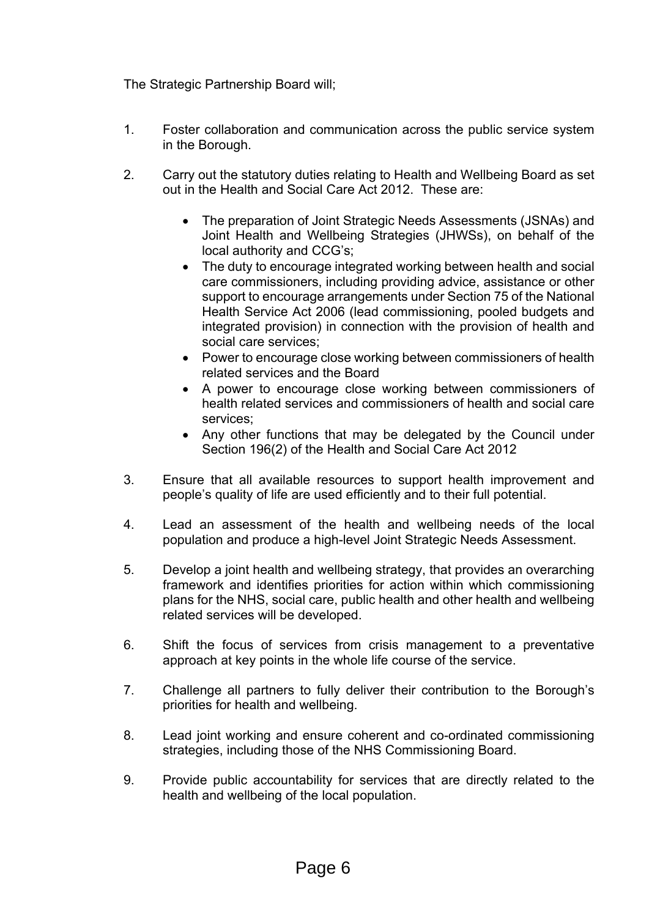The Strategic Partnership Board will;

- 1. Foster collaboration and communication across the public service system in the Borough.
- 2. Carry out the statutory duties relating to Health and Wellbeing Board as set out in the Health and Social Care Act 2012. These are:
	- The preparation of Joint Strategic Needs Assessments (JSNAs) and Joint Health and Wellbeing Strategies (JHWSs), on behalf of the local authority and CCG's;
	- The duty to encourage integrated working between health and social care commissioners, including providing advice, assistance or other support to encourage arrangements under Section 75 of the National Health Service Act 2006 (lead commissioning, pooled budgets and integrated provision) in connection with the provision of health and social care services;
	- Power to encourage close working between commissioners of health related services and the Board
	- A power to encourage close working between commissioners of health related services and commissioners of health and social care services;
	- Any other functions that may be delegated by the Council under Section 196(2) of the Health and Social Care Act 2012
- 3. Ensure that all available resources to support health improvement and people's quality of life are used efficiently and to their full potential.
- 4. Lead an assessment of the health and wellbeing needs of the local population and produce a high-level Joint Strategic Needs Assessment.
- 5. Develop a joint health and wellbeing strategy, that provides an overarching framework and identifies priorities for action within which commissioning plans for the NHS, social care, public health and other health and wellbeing related services will be developed.
- 6. Shift the focus of services from crisis management to a preventative approach at key points in the whole life course of the service.
- 7. Challenge all partners to fully deliver their contribution to the Borough's priorities for health and wellbeing.
- 8. Lead joint working and ensure coherent and co-ordinated commissioning strategies, including those of the NHS Commissioning Board.
- 9. Provide public accountability for services that are directly related to the health and wellbeing of the local population.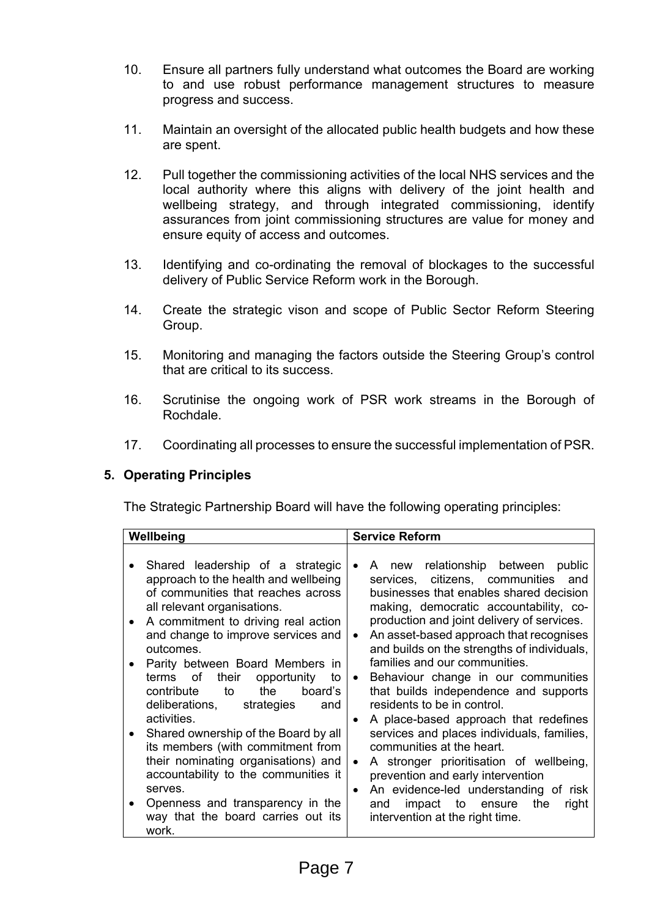- 10. Ensure all partners fully understand what outcomes the Board are working to and use robust performance management structures to measure progress and success.
- 11. Maintain an oversight of the allocated public health budgets and how these are spent.
- 12. Pull together the commissioning activities of the local NHS services and the local authority where this aligns with delivery of the joint health and wellbeing strategy, and through integrated commissioning, identify assurances from joint commissioning structures are value for money and ensure equity of access and outcomes.
- 13. Identifying and co-ordinating the removal of blockages to the successful delivery of Public Service Reform work in the Borough.
- 14. Create the strategic vison and scope of Public Sector Reform Steering Group.
- 15. Monitoring and managing the factors outside the Steering Group's control that are critical to its success.
- 16. Scrutinise the ongoing work of PSR work streams in the Borough of Rochdale.
- 17. Coordinating all processes to ensure the successful implementation of PSR.

## **5. Operating Principles**

The Strategic Partnership Board will have the following operating principles:

| Wellbeing                                                                                                                                                                                                                                                                                                                                                                                                           | <b>Service Reform</b>                                                                                                                                                                                                                                                                                                                                                                                                                                                                                          |  |  |  |  |  |
|---------------------------------------------------------------------------------------------------------------------------------------------------------------------------------------------------------------------------------------------------------------------------------------------------------------------------------------------------------------------------------------------------------------------|----------------------------------------------------------------------------------------------------------------------------------------------------------------------------------------------------------------------------------------------------------------------------------------------------------------------------------------------------------------------------------------------------------------------------------------------------------------------------------------------------------------|--|--|--|--|--|
| Shared leadership of a strategic<br>approach to the health and wellbeing<br>of communities that reaches across<br>all relevant organisations.<br>A commitment to driving real action<br>and change to improve services and<br>outcomes.<br>Parity between Board Members in<br>of<br>their<br>opportunity<br>terms<br>to<br>the<br>board's<br>contribute<br>to<br>deliberations,<br>strategies<br>and<br>activities. | A new relationship between public<br>services, citizens, communities<br>and<br>businesses that enables shared decision<br>making, democratic accountability, co-<br>production and joint delivery of services.<br>An asset-based approach that recognises<br>and builds on the strengths of individuals,<br>families and our communities.<br>Behaviour change in our communities<br>$\bullet$<br>that builds independence and supports<br>residents to be in control.<br>A place-based approach that redefines |  |  |  |  |  |
| Shared ownership of the Board by all<br>its members (with commitment from<br>their nominating organisations) and<br>accountability to the communities it<br>serves.<br>Openness and transparency in the<br>way that the board carries out its<br>work.                                                                                                                                                              | services and places individuals, families,<br>communities at the heart.<br>A stronger prioritisation of wellbeing,<br>$\bullet$<br>prevention and early intervention<br>An evidence-led understanding of risk<br>impact to ensure<br>the<br>right<br>and<br>intervention at the right time.                                                                                                                                                                                                                    |  |  |  |  |  |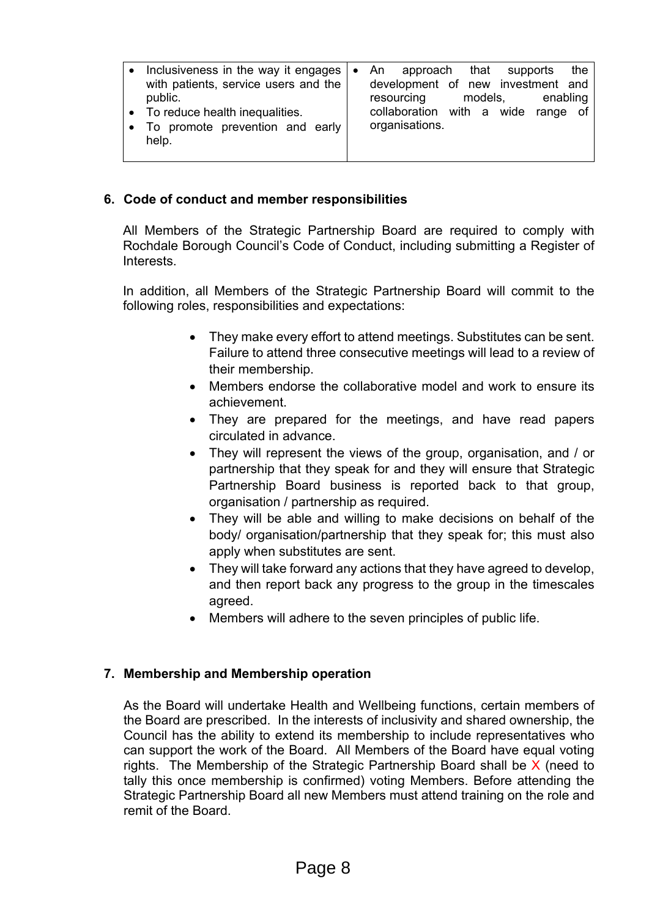| Inclusiveness in the way it engages $\cdot$<br>with patients, service users and the       |  | An approach that supports<br>development of new investment and     |         |  | the      |
|-------------------------------------------------------------------------------------------|--|--------------------------------------------------------------------|---------|--|----------|
| public.<br>• To reduce health inequalities.<br>• To promote prevention and early<br>help. |  | resourcing<br>collaboration with a wide range of<br>organisations. | models, |  | enabling |

## **6. Code of conduct and member responsibilities**

All Members of the Strategic Partnership Board are required to comply with Rochdale Borough Council's Code of Conduct, including submitting a Register of Interests.

In addition, all Members of the Strategic Partnership Board will commit to the following roles, responsibilities and expectations:

- They make every effort to attend meetings. Substitutes can be sent. Failure to attend three consecutive meetings will lead to a review of their membership.
- Members endorse the collaborative model and work to ensure its achievement.
- They are prepared for the meetings, and have read papers circulated in advance.
- They will represent the views of the group, organisation, and / or partnership that they speak for and they will ensure that Strategic Partnership Board business is reported back to that group, organisation / partnership as required.
- They will be able and willing to make decisions on behalf of the body/ organisation/partnership that they speak for; this must also apply when substitutes are sent.
- They will take forward any actions that they have agreed to develop, and then report back any progress to the group in the timescales agreed.
- Members will adhere to the seven principles of public life.

## **7. Membership and Membership operation**

As the Board will undertake Health and Wellbeing functions, certain members of the Board are prescribed. In the interests of inclusivity and shared ownership, the Council has the ability to extend its membership to include representatives who can support the work of the Board. All Members of the Board have equal voting rights. The Membership of the Strategic Partnership Board shall be  $X$  (need to tally this once membership is confirmed) voting Members. Before attending the Strategic Partnership Board all new Members must attend training on the role and remit of the Board.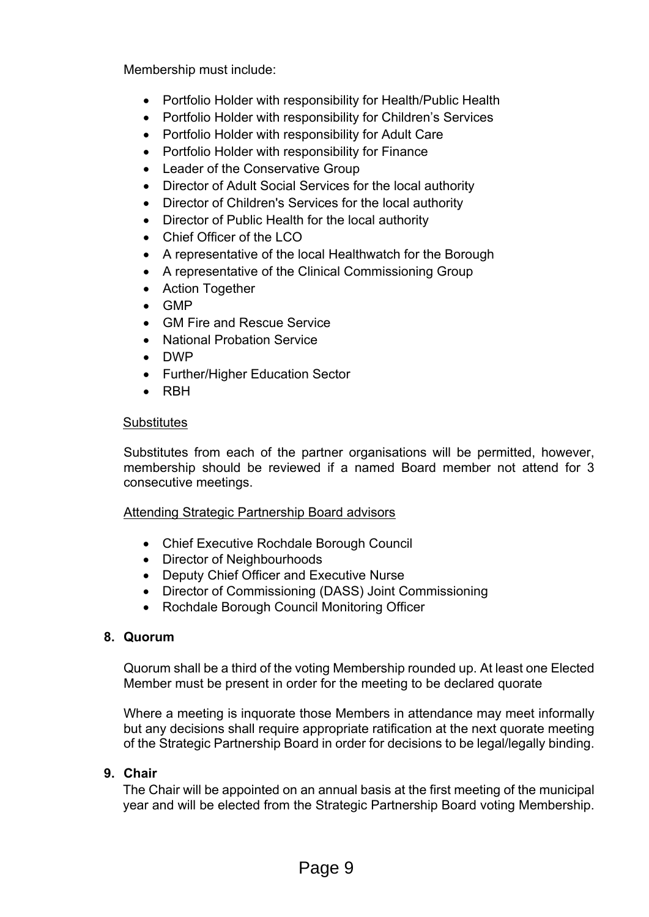Membership must include:

- Portfolio Holder with responsibility for Health/Public Health
- Portfolio Holder with responsibility for Children's Services
- Portfolio Holder with responsibility for Adult Care
- Portfolio Holder with responsibility for Finance
- Leader of the Conservative Group
- Director of Adult Social Services for the local authority
- Director of Children's Services for the local authority
- Director of Public Health for the local authority
- Chief Officer of the LCO
- A representative of the local Healthwatch for the Borough
- A representative of the Clinical Commissioning Group
- Action Together
- $\bullet$  GMP
- GM Fire and Rescue Service
- National Probation Service
- DWP
- Further/Higher Education Sector
- $\bullet$  RBH

## **Substitutes**

Substitutes from each of the partner organisations will be permitted, however, membership should be reviewed if a named Board member not attend for 3 consecutive meetings.

## Attending Strategic Partnership Board advisors

- Chief Executive Rochdale Borough Council
- Director of Neighbourhoods
- Deputy Chief Officer and Executive Nurse
- Director of Commissioning (DASS) Joint Commissioning
- Rochdale Borough Council Monitoring Officer

## **8. Quorum**

Quorum shall be a third of the voting Membership rounded up. At least one Elected Member must be present in order for the meeting to be declared quorate

Where a meeting is inquorate those Members in attendance may meet informally but any decisions shall require appropriate ratification at the next quorate meeting of the Strategic Partnership Board in order for decisions to be legal/legally binding.

## **9. Chair**

The Chair will be appointed on an annual basis at the first meeting of the municipal year and will be elected from the Strategic Partnership Board voting Membership.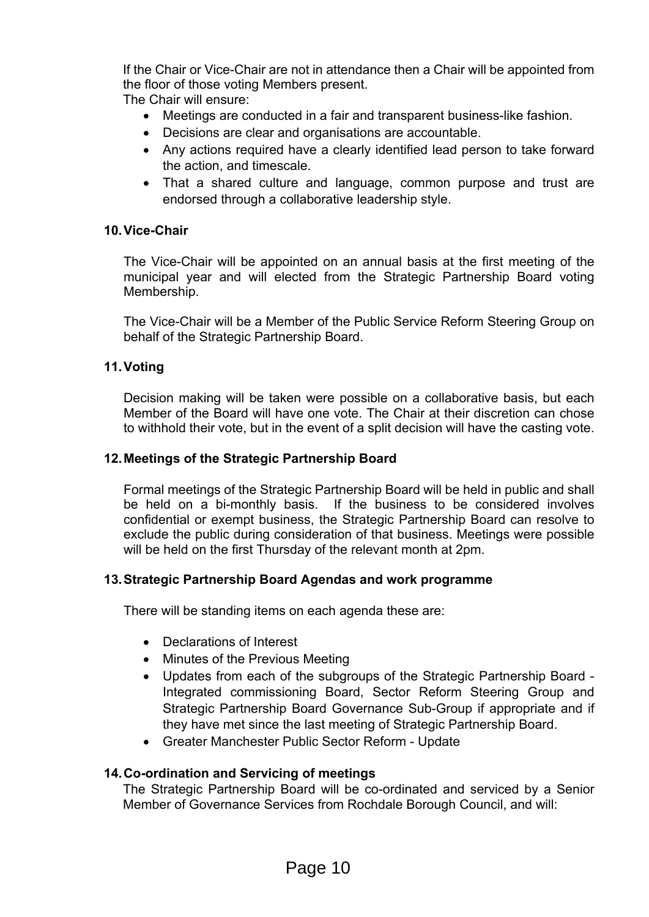If the Chair or Vice-Chair are not in attendance then a Chair will be appointed from the floor of those voting Members present.

The Chair will ensure:

- Meetings are conducted in a fair and transparent business-like fashion.
- Decisions are clear and organisations are accountable.
- Any actions required have a clearly identified lead person to take forward the action, and timescale.
- That a shared culture and language, common purpose and trust are endorsed through a collaborative leadership style.

## **10.Vice-Chair**

The Vice-Chair will be appointed on an annual basis at the first meeting of the municipal year and will elected from the Strategic Partnership Board voting Membership.

The Vice-Chair will be a Member of the Public Service Reform Steering Group on behalf of the Strategic Partnership Board.

## **11.Voting**

Decision making will be taken were possible on a collaborative basis, but each Member of the Board will have one vote. The Chair at their discretion can chose to withhold their vote, but in the event of a split decision will have the casting vote.

## **12.Meetings of the Strategic Partnership Board**

Formal meetings of the Strategic Partnership Board will be held in public and shall be held on a bi-monthly basis. If the business to be considered involves confidential or exempt business, the Strategic Partnership Board can resolve to exclude the public during consideration of that business. Meetings were possible will be held on the first Thursday of the relevant month at 2pm.

## **13.Strategic Partnership Board Agendas and work programme**

There will be standing items on each agenda these are:

- Declarations of Interest
- Minutes of the Previous Meeting
- Updates from each of the subgroups of the Strategic Partnership Board Integrated commissioning Board, Sector Reform Steering Group and Strategic Partnership Board Governance Sub-Group if appropriate and if they have met since the last meeting of Strategic Partnership Board.
- Greater Manchester Public Sector Reform Update

## **14.Co-ordination and Servicing of meetings**

The Strategic Partnership Board will be co-ordinated and serviced by a Senior Member of Governance Services from Rochdale Borough Council, and will: